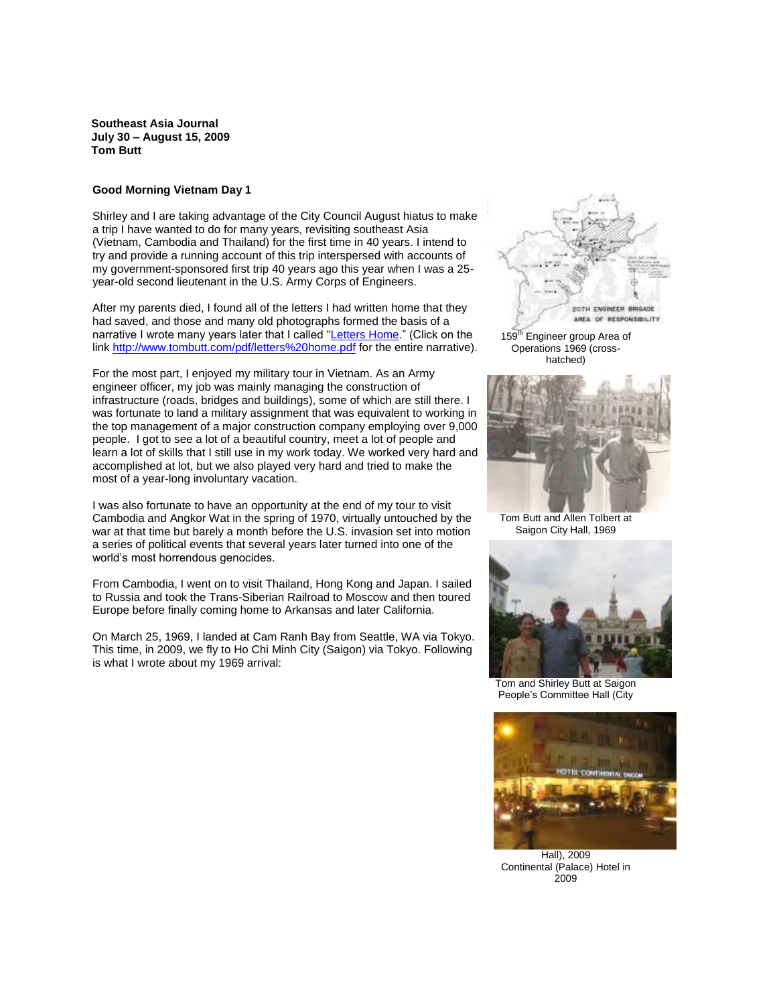**Southeast Asia Journal July 30 – August 15, 2009 Tom Butt**

### **Good Morning Vietnam Day 1**

Shirley and I are taking advantage of the City Council August hiatus to make a trip I have wanted to do for many years, revisiting southeast Asia (Vietnam, Cambodia and Thailand) for the first time in 40 years. I intend to try and provide a running account of this trip interspersed with accounts of my government-sponsored first trip 40 years ago this year when I was a 25 year-old second lieutenant in the U.S. Army Corps of Engineers.

After my parents died, I found all of the letters I had written home that they had saved, and those and many old photographs formed the basis of a narrative I wrote many years later that I called ["Letters Home.](http://www.tombutt.com/pdf/letters%20home.pdf)" (Click on the link<http://www.tombutt.com/pdf/letters%20home.pdf> for the entire narrative).

For the most part, I enjoyed my military tour in Vietnam. As an Army engineer officer, my job was mainly managing the construction of infrastructure (roads, bridges and buildings), some of which are still there. I was fortunate to land a military assignment that was equivalent to working in the top management of a major construction company employing over 9,000 people. I got to see a lot of a beautiful country, meet a lot of people and learn a lot of skills that I still use in my work today. We worked very hard and accomplished at lot, but we also played very hard and tried to make the most of a year-long involuntary vacation.

I was also fortunate to have an opportunity at the end of my tour to visit Cambodia and Angkor Wat in the spring of 1970, virtually untouched by the war at that time but barely a month before the U.S. invasion set into motion a series of political events that several years later turned into one of the world's most horrendous genocides.

From Cambodia, I went on to visit Thailand, Hong Kong and Japan. I sailed to Russia and took the Trans-Siberian Railroad to Moscow and then toured Europe before finally coming home to Arkansas and later California.

On March 25, 1969, I landed at Cam Ranh Bay from Seattle, WA via Tokyo. This time, in 2009, we fly to Ho Chi Minh City (Saigon) via Tokyo. Following is what I wrote about my 1969 arrival:



159<sup>th</sup> Engineer group Area of Operations 1969 (crosshatched)



Tom Butt and Allen Tolbert at Saigon City Hall, 1969



Tom and Shirley Butt at Saigon People's Committee Hall (City



Hall), 2009 Continental (Palace) Hotel in 2009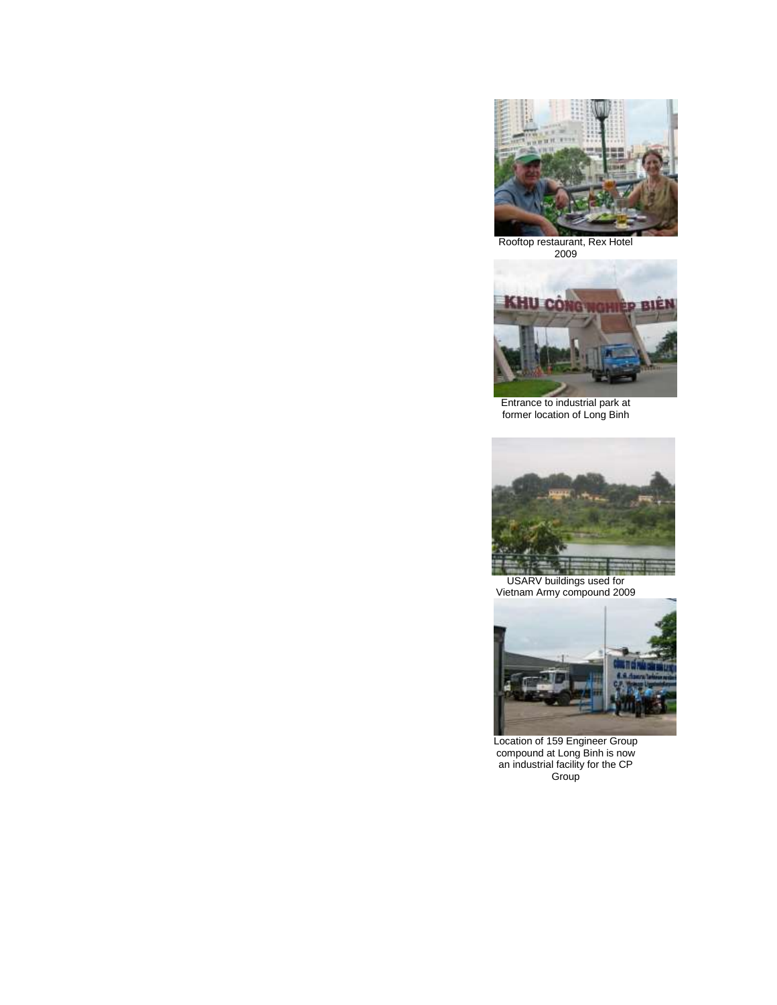

Rooftop restaurant, Rex Hotel 2009



Entrance to industrial park at former location of Long Binh



USARV buildings used for Vietnam Army compound 2009



Location of 159 Engineer Group compound at Long Binh is now an industrial facility for the CP Group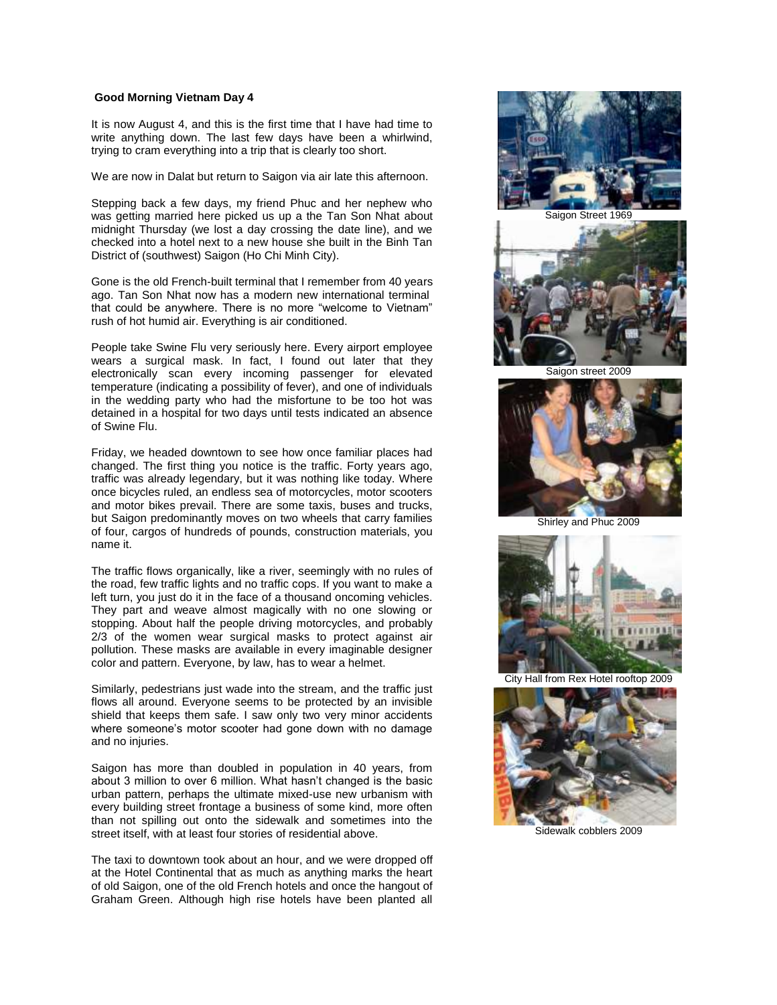## **Good Morning Vietnam Day 4**

It is now August 4, and this is the first time that I have had time to write anything down. The last few days have been a whirlwind, trying to cram everything into a trip that is clearly too short.

We are now in Dalat but return to Saigon via air late this afternoon.

Stepping back a few days, my friend Phuc and her nephew who was getting married here picked us up a the Tan Son Nhat about midnight Thursday (we lost a day crossing the date line), and we checked into a hotel next to a new house she built in the Binh Tan District of (southwest) Saigon (Ho Chi Minh City).

Gone is the old French-built terminal that I remember from 40 years ago. Tan Son Nhat now has a modern new international terminal that could be anywhere. There is no more "welcome to Vietnam" rush of hot humid air. Everything is air conditioned.

People take Swine Flu very seriously here. Every airport employee wears a surgical mask. In fact, I found out later that they electronically scan every incoming passenger for elevated temperature (indicating a possibility of fever), and one of individuals in the wedding party who had the misfortune to be too hot was detained in a hospital for two days until tests indicated an absence of Swine Flu.

Friday, we headed downtown to see how once familiar places had changed. The first thing you notice is the traffic. Forty years ago, traffic was already legendary, but it was nothing like today. Where once bicycles ruled, an endless sea of motorcycles, motor scooters and motor bikes prevail. There are some taxis, buses and trucks, but Saigon predominantly moves on two wheels that carry families of four, cargos of hundreds of pounds, construction materials, you name it.

The traffic flows organically, like a river, seemingly with no rules of the road, few traffic lights and no traffic cops. If you want to make a left turn, you just do it in the face of a thousand oncoming vehicles. They part and weave almost magically with no one slowing or stopping. About half the people driving motorcycles, and probably 2/3 of the women wear surgical masks to protect against air pollution. These masks are available in every imaginable designer color and pattern. Everyone, by law, has to wear a helmet.

Similarly, pedestrians just wade into the stream, and the traffic just flows all around. Everyone seems to be protected by an invisible shield that keeps them safe. I saw only two very minor accidents where someone's motor scooter had gone down with no damage and no injuries.

Saigon has more than doubled in population in 40 years, from about 3 million to over 6 million. What hasn't changed is the basic urban pattern, perhaps the ultimate mixed-use new urbanism with every building street frontage a business of some kind, more often than not spilling out onto the sidewalk and sometimes into the street itself, with at least four stories of residential above.

The taxi to downtown took about an hour, and we were dropped off at the Hotel Continental that as much as anything marks the heart of old Saigon, one of the old French hotels and once the hangout of Graham Green. Although high rise hotels have been planted all



Saigon Street 1969



Saigon street 2009



Shirley and Phuc 2009



City Hall from Rex Hotel rooftop 2009



Sidewalk cobblers 2009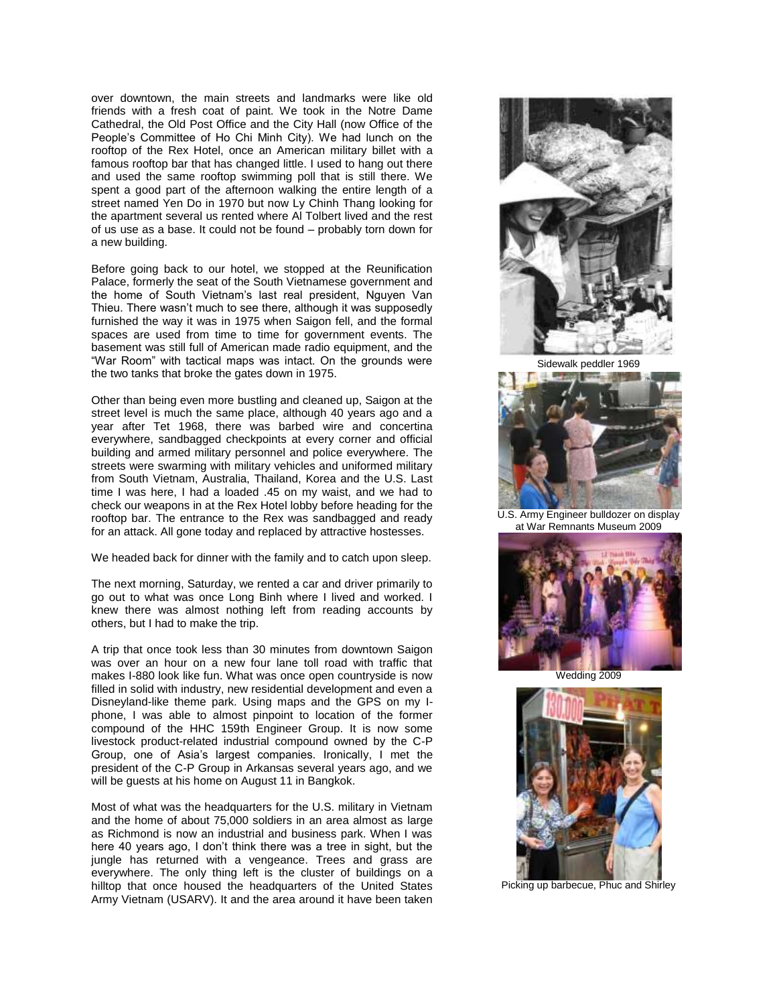over downtown, the main streets and landmarks were like old friends with a fresh coat of paint. We took in the Notre Dame Cathedral, the Old Post Office and the City Hall (now Office of the People's Committee of Ho Chi Minh City). We had lunch on the rooftop of the Rex Hotel, once an American military billet with a famous rooftop bar that has changed little. I used to hang out there and used the same rooftop swimming poll that is still there. We spent a good part of the afternoon walking the entire length of a street named Yen Do in 1970 but now Ly Chinh Thang looking for the apartment several us rented where Al Tolbert lived and the rest of us use as a base. It could not be found – probably torn down for a new building.

Before going back to our hotel, we stopped at the Reunification Palace, formerly the seat of the South Vietnamese government and the home of South Vietnam's last real president, Nguyen Van Thieu. There wasn't much to see there, although it was supposedly furnished the way it was in 1975 when Saigon fell, and the formal spaces are used from time to time for government events. The basement was still full of American made radio equipment, and the "War Room" with tactical maps was intact. On the grounds were the two tanks that broke the gates down in 1975.

Other than being even more bustling and cleaned up, Saigon at the street level is much the same place, although 40 years ago and a year after Tet 1968, there was barbed wire and concertina everywhere, sandbagged checkpoints at every corner and official building and armed military personnel and police everywhere. The streets were swarming with military vehicles and uniformed military from South Vietnam, Australia, Thailand, Korea and the U.S. Last time I was here, I had a loaded .45 on my waist, and we had to check our weapons in at the Rex Hotel lobby before heading for the rooftop bar. The entrance to the Rex was sandbagged and ready for an attack. All gone today and replaced by attractive hostesses.

We headed back for dinner with the family and to catch upon sleep.

The next morning, Saturday, we rented a car and driver primarily to go out to what was once Long Binh where I lived and worked. I knew there was almost nothing left from reading accounts by others, but I had to make the trip.

A trip that once took less than 30 minutes from downtown Saigon was over an hour on a new four lane toll road with traffic that makes I-880 look like fun. What was once open countryside is now filled in solid with industry, new residential development and even a Disneyland-like theme park. Using maps and the GPS on my Iphone, I was able to almost pinpoint to location of the former compound of the HHC 159th Engineer Group. It is now some livestock product-related industrial compound owned by the C-P Group, one of Asia's largest companies. Ironically, I met the president of the C-P Group in Arkansas several years ago, and we will be guests at his home on August 11 in Bangkok.

Most of what was the headquarters for the U.S. military in Vietnam and the home of about 75,000 soldiers in an area almost as large as Richmond is now an industrial and business park. When I was here 40 years ago, I don't think there was a tree in sight, but the jungle has returned with a vengeance. Trees and grass are everywhere. The only thing left is the cluster of buildings on a hilltop that once housed the headquarters of the United States Army Vietnam (USARV). It and the area around it have been taken



Sidewalk peddler 1969



U.S. Army Engineer bulldozer on display at War Remnants Museum 2009



Wedding 2009



Picking up barbecue, Phuc and Shirley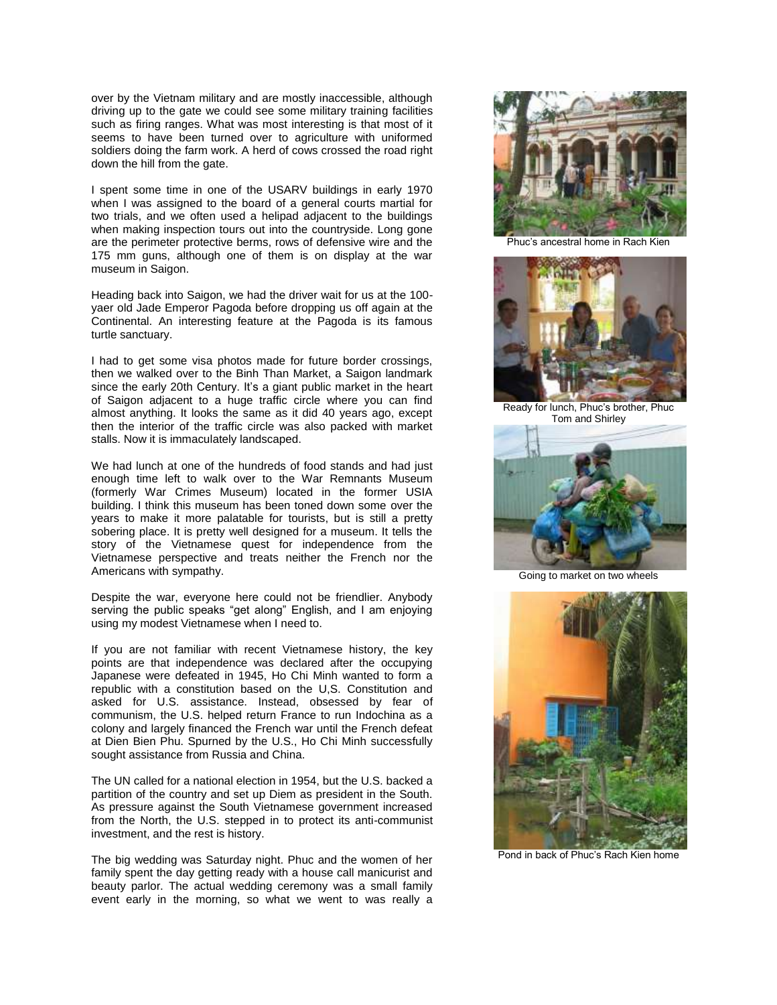over by the Vietnam military and are mostly inaccessible, although driving up to the gate we could see some military training facilities such as firing ranges. What was most interesting is that most of it seems to have been turned over to agriculture with uniformed soldiers doing the farm work. A herd of cows crossed the road right down the hill from the gate.

I spent some time in one of the USARV buildings in early 1970 when I was assigned to the board of a general courts martial for two trials, and we often used a helipad adjacent to the buildings when making inspection tours out into the countryside. Long gone are the perimeter protective berms, rows of defensive wire and the 175 mm guns, although one of them is on display at the war museum in Saigon.

Heading back into Saigon, we had the driver wait for us at the 100 yaer old Jade Emperor Pagoda before dropping us off again at the Continental. An interesting feature at the Pagoda is its famous turtle sanctuary.

I had to get some visa photos made for future border crossings, then we walked over to the Binh Than Market, a Saigon landmark since the early 20th Century. It's a giant public market in the heart of Saigon adjacent to a huge traffic circle where you can find almost anything. It looks the same as it did 40 years ago, except then the interior of the traffic circle was also packed with market stalls. Now it is immaculately landscaped.

We had lunch at one of the hundreds of food stands and had just enough time left to walk over to the War Remnants Museum (formerly War Crimes Museum) located in the former USIA building. I think this museum has been toned down some over the years to make it more palatable for tourists, but is still a pretty sobering place. It is pretty well designed for a museum. It tells the story of the Vietnamese quest for independence from the Vietnamese perspective and treats neither the French nor the Americans with sympathy.

Despite the war, everyone here could not be friendlier. Anybody serving the public speaks "get along" English, and I am enjoying using my modest Vietnamese when I need to.

If you are not familiar with recent Vietnamese history, the key points are that independence was declared after the occupying Japanese were defeated in 1945, Ho Chi Minh wanted to form a republic with a constitution based on the U,S. Constitution and asked for U.S. assistance. Instead, obsessed by fear of communism, the U.S. helped return France to run Indochina as a colony and largely financed the French war until the French defeat at Dien Bien Phu. Spurned by the U.S., Ho Chi Minh successfully sought assistance from Russia and China.

The UN called for a national election in 1954, but the U.S. backed a partition of the country and set up Diem as president in the South. As pressure against the South Vietnamese government increased from the North, the U.S. stepped in to protect its anti-communist investment, and the rest is history.

The big wedding was Saturday night. Phuc and the women of her family spent the day getting ready with a house call manicurist and beauty parlor. The actual wedding ceremony was a small family event early in the morning, so what we went to was really a



Phuc's ancestral home in Rach Kien



Ready for lunch, Phuc's brother, Phuc Tom and Shirley



Going to market on two wheels



Pond in back of Phuc's Rach Kien home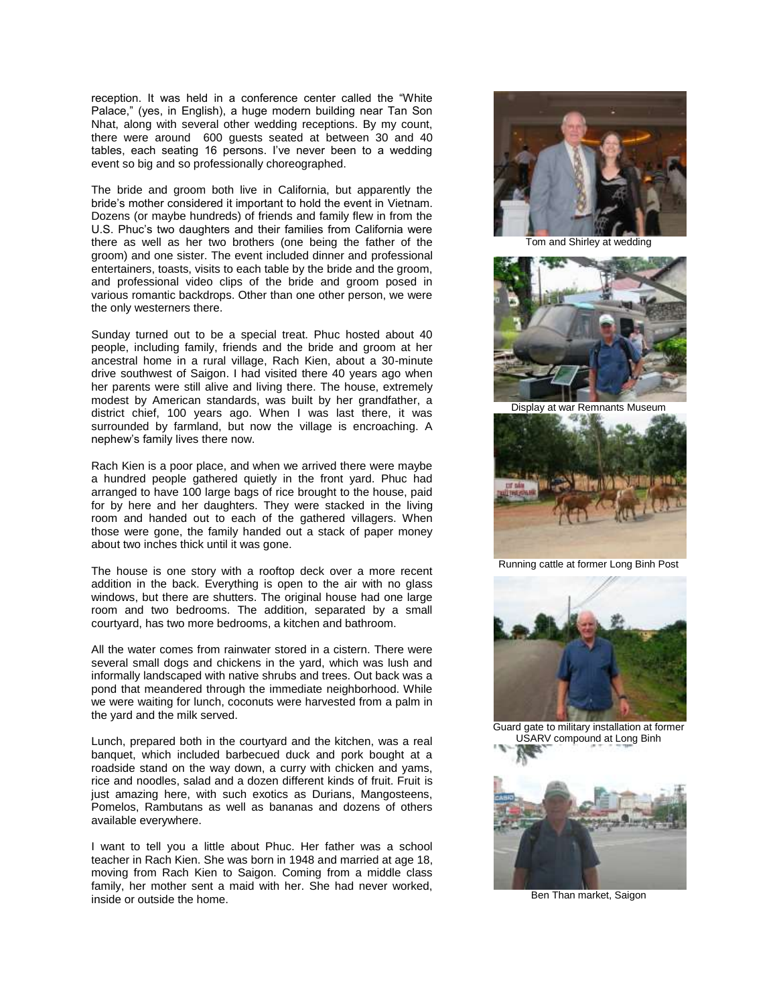reception. It was held in a conference center called the "White Palace," (yes, in English), a huge modern building near Tan Son Nhat, along with several other wedding receptions. By my count, there were around 600 guests seated at between 30 and 40 tables, each seating 16 persons. I've never been to a wedding event so big and so professionally choreographed.

The bride and groom both live in California, but apparently the bride's mother considered it important to hold the event in Vietnam. Dozens (or maybe hundreds) of friends and family flew in from the U.S. Phuc's two daughters and their families from California were there as well as her two brothers (one being the father of the groom) and one sister. The event included dinner and professional entertainers, toasts, visits to each table by the bride and the groom, and professional video clips of the bride and groom posed in various romantic backdrops. Other than one other person, we were the only westerners there.

Sunday turned out to be a special treat. Phuc hosted about 40 people, including family, friends and the bride and groom at her ancestral home in a rural village, Rach Kien, about a 30-minute drive southwest of Saigon. I had visited there 40 years ago when her parents were still alive and living there. The house, extremely modest by American standards, was built by her grandfather, a district chief, 100 years ago. When I was last there, it was surrounded by farmland, but now the village is encroaching. A nephew's family lives there now.

Rach Kien is a poor place, and when we arrived there were maybe a hundred people gathered quietly in the front yard. Phuc had arranged to have 100 large bags of rice brought to the house, paid for by here and her daughters. They were stacked in the living room and handed out to each of the gathered villagers. When those were gone, the family handed out a stack of paper money about two inches thick until it was gone.

The house is one story with a rooftop deck over a more recent addition in the back. Everything is open to the air with no glass windows, but there are shutters. The original house had one large room and two bedrooms. The addition, separated by a small courtyard, has two more bedrooms, a kitchen and bathroom.

All the water comes from rainwater stored in a cistern. There were several small dogs and chickens in the yard, which was lush and informally landscaped with native shrubs and trees. Out back was a pond that meandered through the immediate neighborhood. While we were waiting for lunch, coconuts were harvested from a palm in the yard and the milk served.

Lunch, prepared both in the courtyard and the kitchen, was a real banquet, which included barbecued duck and pork bought at a roadside stand on the way down, a curry with chicken and yams, rice and noodles, salad and a dozen different kinds of fruit. Fruit is just amazing here, with such exotics as Durians, Mangosteens, Pomelos, Rambutans as well as bananas and dozens of others available everywhere.

I want to tell you a little about Phuc. Her father was a school teacher in Rach Kien. She was born in 1948 and married at age 18, moving from Rach Kien to Saigon. Coming from a middle class family, her mother sent a maid with her. She had never worked, inside or outside the home.



Tom and Shirley at wedding



Display at war Remnants Museum



Running cattle at former Long Binh Post



Guard gate to military installation at former USARV compound at Long Binh



Ben Than market, Saigon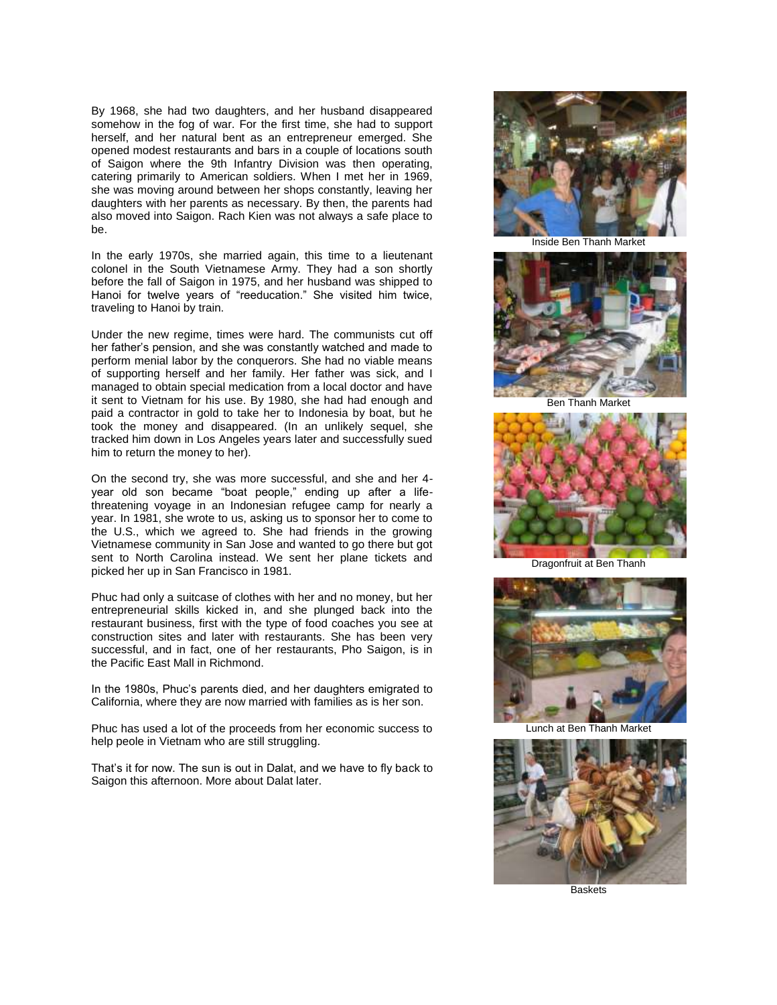By 1968, she had two daughters, and her husband disappeared somehow in the fog of war. For the first time, she had to support herself, and her natural bent as an entrepreneur emerged. She opened modest restaurants and bars in a couple of locations south of Saigon where the 9th Infantry Division was then operating, catering primarily to American soldiers. When I met her in 1969, she was moving around between her shops constantly, leaving her daughters with her parents as necessary. By then, the parents had also moved into Saigon. Rach Kien was not always a safe place to be.

In the early 1970s, she married again, this time to a lieutenant colonel in the South Vietnamese Army. They had a son shortly before the fall of Saigon in 1975, and her husband was shipped to Hanoi for twelve years of "reeducation." She visited him twice, traveling to Hanoi by train.

Under the new regime, times were hard. The communists cut off her father's pension, and she was constantly watched and made to perform menial labor by the conquerors. She had no viable means of supporting herself and her family. Her father was sick, and I managed to obtain special medication from a local doctor and have it sent to Vietnam for his use. By 1980, she had had enough and paid a contractor in gold to take her to Indonesia by boat, but he took the money and disappeared. (In an unlikely sequel, she tracked him down in Los Angeles years later and successfully sued him to return the money to her).

On the second try, she was more successful, and she and her 4 year old son became "boat people," ending up after a lifethreatening voyage in an Indonesian refugee camp for nearly a year. In 1981, she wrote to us, asking us to sponsor her to come to the U.S., which we agreed to. She had friends in the growing Vietnamese community in San Jose and wanted to go there but got sent to North Carolina instead. We sent her plane tickets and picked her up in San Francisco in 1981.

Phuc had only a suitcase of clothes with her and no money, but her entrepreneurial skills kicked in, and she plunged back into the restaurant business, first with the type of food coaches you see at construction sites and later with restaurants. She has been very successful, and in fact, one of her restaurants, Pho Saigon, is in the Pacific East Mall in Richmond.

In the 1980s, Phuc's parents died, and her daughters emigrated to California, where they are now married with families as is her son.

Phuc has used a lot of the proceeds from her economic success to help peole in Vietnam who are still struggling.

That's it for now. The sun is out in Dalat, and we have to fly back to Saigon this afternoon. More about Dalat later.



Inside Ben Thanh Market



Ben Thanh Market



Dragonfruit at Ben Thanh



Lunch at Ben Thanh Market



**Baskets**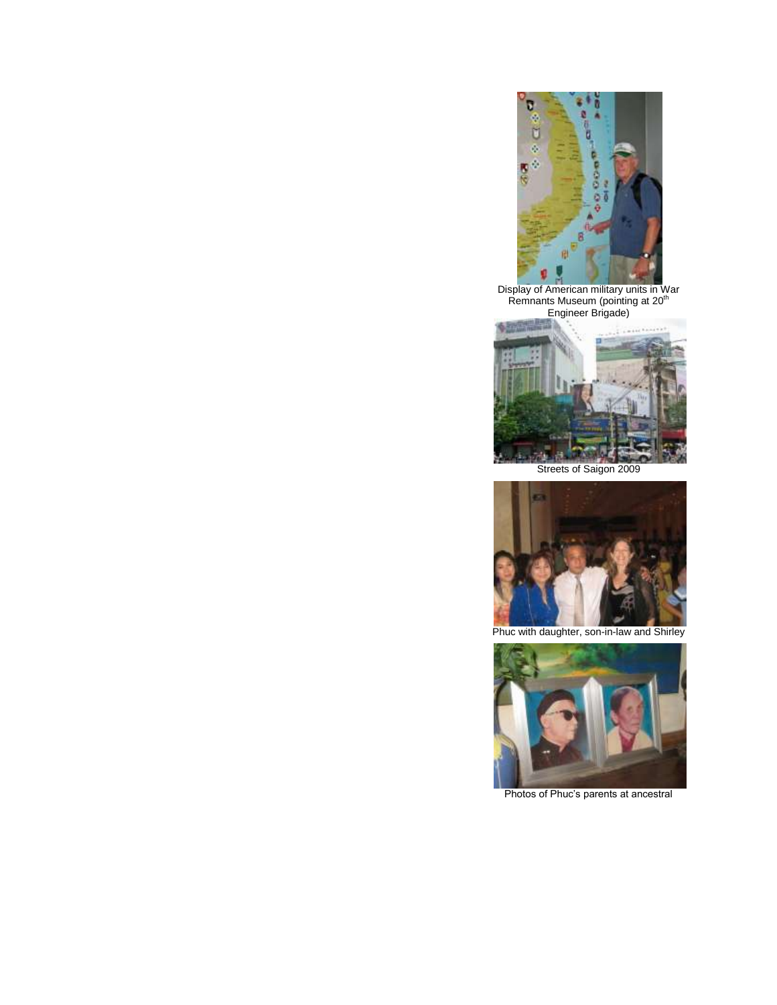

Display of American military units in War<br>Remnants Museum (pointing at 20<sup>th</sup> Engineer Brigade)





Phuc with daughter, son-in-law and Shirley



Photos of Phuc's parents at ancestral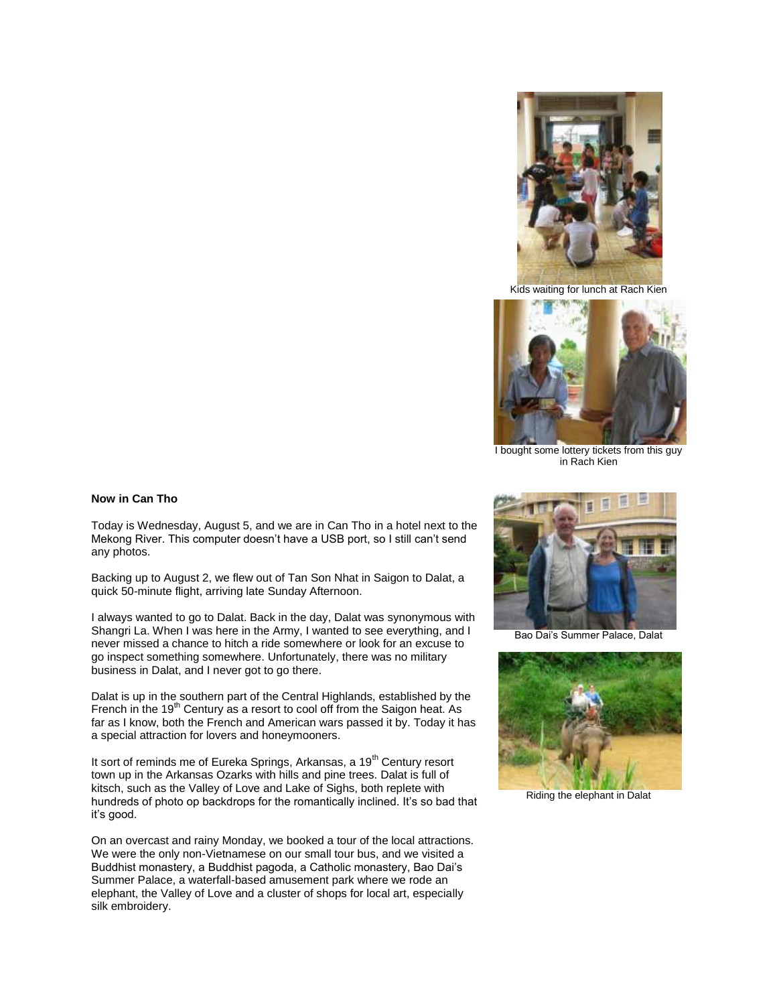

Kids waiting for lunch at Rach Kien



I bought some lottery tickets from this guy in Rach Kien

#### **Now in Can Tho**

Today is Wednesday, August 5, and we are in Can Tho in a hotel next to the Mekong River. This computer doesn't have a USB port, so I still can't send any photos.

Backing up to August 2, we flew out of Tan Son Nhat in Saigon to Dalat, a quick 50-minute flight, arriving late Sunday Afternoon.

I always wanted to go to Dalat. Back in the day, Dalat was synonymous with Shangri La. When I was here in the Army, I wanted to see everything, and I never missed a chance to hitch a ride somewhere or look for an excuse to go inspect something somewhere. Unfortunately, there was no military business in Dalat, and I never got to go there.

Dalat is up in the southern part of the Central Highlands, established by the French in the  $19<sup>th</sup>$  Century as a resort to cool off from the Saigon heat. As far as I know, both the French and American wars passed it by. Today it has a special attraction for lovers and honeymooners.

It sort of reminds me of Eureka Springs, Arkansas, a 19<sup>th</sup> Century resort town up in the Arkansas Ozarks with hills and pine trees. Dalat is full of kitsch, such as the Valley of Love and Lake of Sighs, both replete with hundreds of photo op backdrops for the romantically inclined. It's so bad that it's good.

On an overcast and rainy Monday, we booked a tour of the local attractions. We were the only non-Vietnamese on our small tour bus, and we visited a Buddhist monastery, a Buddhist pagoda, a Catholic monastery, Bao Dai's Summer Palace, a waterfall-based amusement park where we rode an elephant, the Valley of Love and a cluster of shops for local art, especially silk embroidery.



Bao Dai's Summer Palace, Dalat



Riding the elephant in Dalat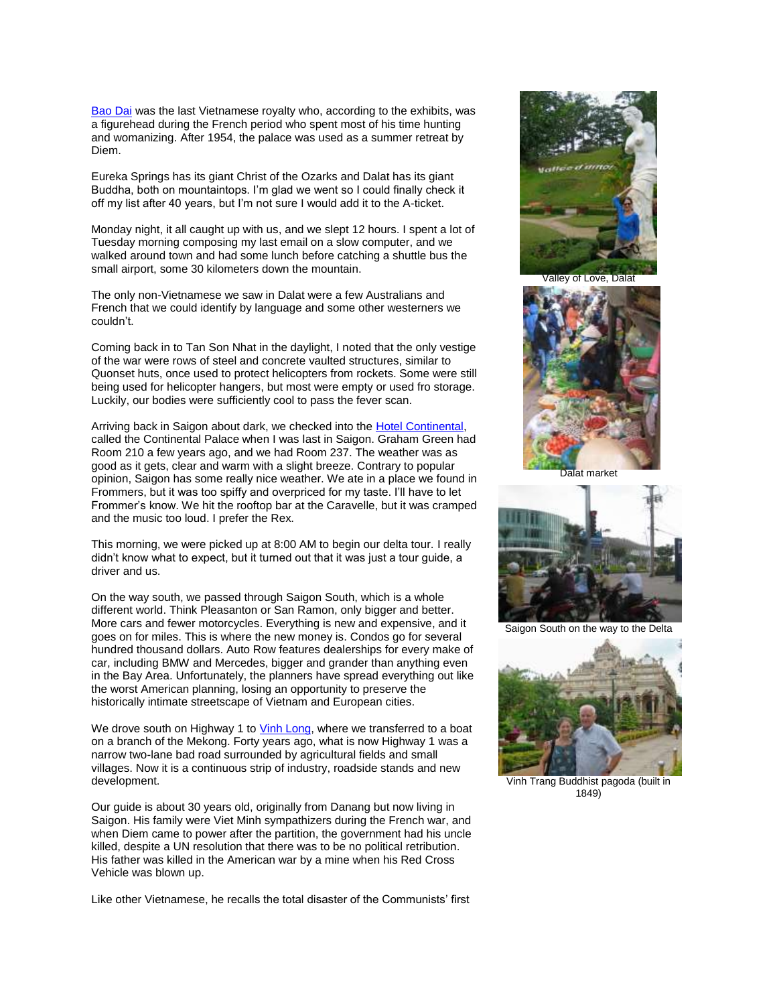[Bao Dai](http://en.wikipedia.org/wiki/B%E1%BA%A3o_%C4%90%E1%BA%A1i) was the last Vietnamese royalty who, according to the exhibits, was a figurehead during the French period who spent most of his time hunting and womanizing. After 1954, the palace was used as a summer retreat by Diem.

Eureka Springs has its giant Christ of the Ozarks and Dalat has its giant Buddha, both on mountaintops. I'm glad we went so I could finally check it off my list after 40 years, but I'm not sure I would add it to the A-ticket.

Monday night, it all caught up with us, and we slept 12 hours. I spent a lot of Tuesday morning composing my last email on a slow computer, and we walked around town and had some lunch before catching a shuttle bus the small airport, some 30 kilometers down the mountain.

The only non-Vietnamese we saw in Dalat were a few Australians and French that we could identify by language and some other westerners we couldn't.

Coming back in to Tan Son Nhat in the daylight, I noted that the only vestige of the war were rows of steel and concrete vaulted structures, similar to Quonset huts, once used to protect helicopters from rockets. Some were still being used for helicopter hangers, but most were empty or used fro storage. Luckily, our bodies were sufficiently cool to pass the fever scan.

Arriving back in Saigon about dark, we checked into the [Hotel Continental,](http://www.continental-saigon.com/aboutus/biography.html) called the Continental Palace when I was last in Saigon. Graham Green had Room 210 a few years ago, and we had Room 237. The weather was as good as it gets, clear and warm with a slight breeze. Contrary to popular opinion, Saigon has some really nice weather. We ate in a place we found in Frommers, but it was too spiffy and overpriced for my taste. I'll have to let Frommer's know. We hit the rooftop bar at the Caravelle, but it was cramped and the music too loud. I prefer the Rex.

This morning, we were picked up at 8:00 AM to begin our delta tour. I really didn't know what to expect, but it turned out that it was just a tour guide, a driver and us.

On the way south, we passed through Saigon South, which is a whole different world. Think Pleasanton or San Ramon, only bigger and better. More cars and fewer motorcycles. Everything is new and expensive, and it goes on for miles. This is where the new money is. Condos go for several hundred thousand dollars. Auto Row features dealerships for every make of car, including BMW and Mercedes, bigger and grander than anything even in the Bay Area. Unfortunately, the planners have spread everything out like the worst American planning, losing an opportunity to preserve the historically intimate streetscape of Vietnam and European cities.

We drove south on Highway 1 t[o Vinh Long,](http://en.wikipedia.org/wiki/V%C4%A9nh_Long) where we transferred to a boat on a branch of the Mekong. Forty years ago, what is now Highway 1 was a narrow two-lane bad road surrounded by agricultural fields and small villages. Now it is a continuous strip of industry, roadside stands and new development.

Our guide is about 30 years old, originally from Danang but now living in Saigon. His family were Viet Minh sympathizers during the French war, and when Diem came to power after the partition, the government had his uncle killed, despite a UN resolution that there was to be no political retribution. His father was killed in the American war by a mine when his Red Cross Vehicle was blown up.

Like other Vietnamese, he recalls the total disaster of the Communists' first



Valley of Love, Dalat



Dalat market



Saigon South on the way to the Delta



Vinh Trang Buddhist pagoda (built in 1849)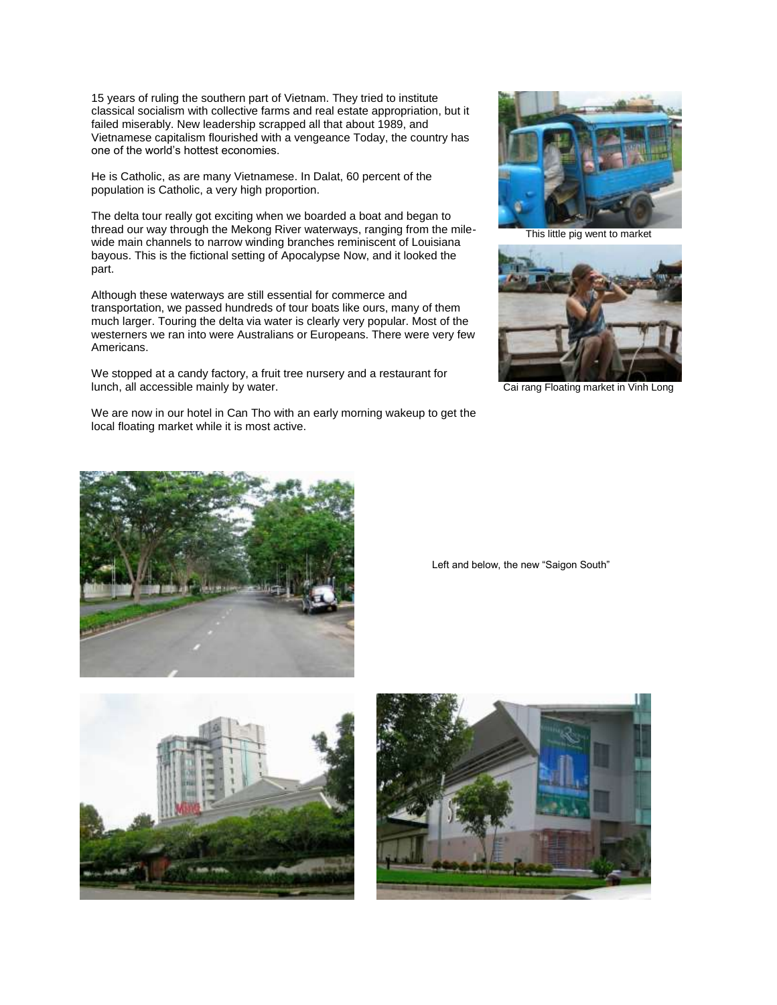15 years of ruling the southern part of Vietnam. They tried to institute classical socialism with collective farms and real estate appropriation, but it failed miserably. New leadership scrapped all that about 1989, and Vietnamese capitalism flourished with a vengeance Today, the country has one of the world's hottest economies.

He is Catholic, as are many Vietnamese. In Dalat, 60 percent of the population is Catholic, a very high proportion.

The delta tour really got exciting when we boarded a boat and began to thread our way through the Mekong River waterways, ranging from the milewide main channels to narrow winding branches reminiscent of Louisiana bayous. This is the fictional setting of Apocalypse Now, and it looked the part.

Although these waterways are still essential for commerce and transportation, we passed hundreds of tour boats like ours, many of them much larger. Touring the delta via water is clearly very popular. Most of the westerners we ran into were Australians or Europeans. There were very few Americans.

We stopped at a candy factory, a fruit tree nursery and a restaurant for lunch, all accessible mainly by water.

We are now in our hotel in Can Tho with an early morning wakeup to get the local floating market while it is most active.



This little pig went to market



Cai rang Floating market in Vinh Long



Left and below, the new "Saigon South"



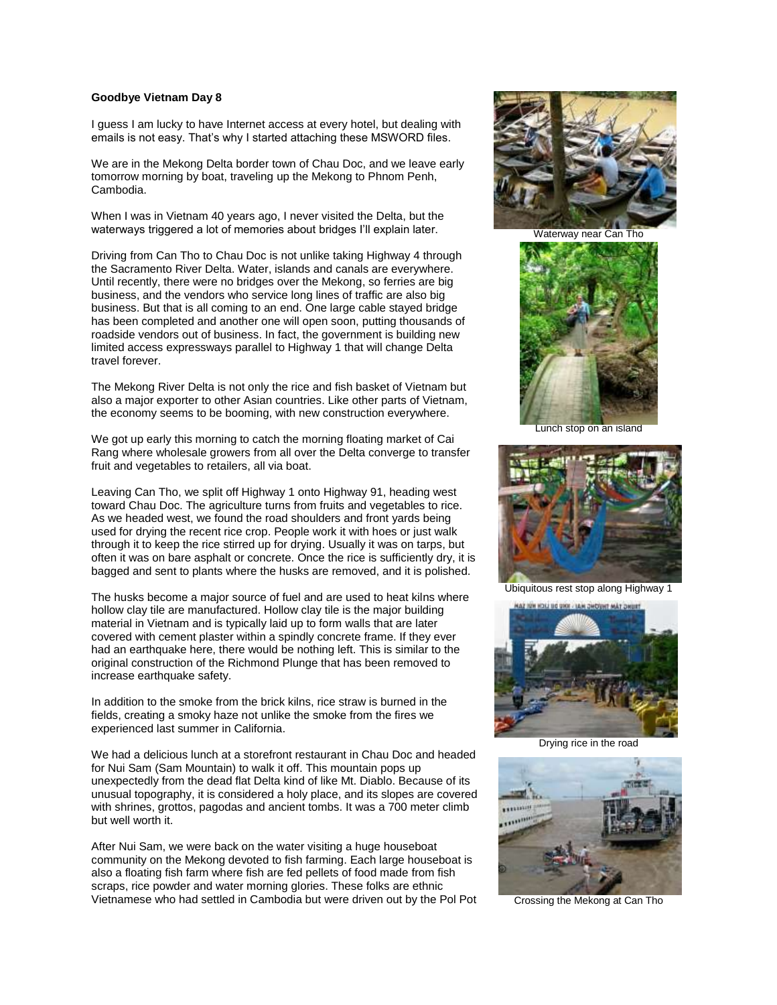## **Goodbye Vietnam Day 8**

I guess I am lucky to have Internet access at every hotel, but dealing with emails is not easy. That's why I started attaching these MSWORD files.

We are in the Mekong Delta border town of Chau Doc, and we leave early tomorrow morning by boat, traveling up the Mekong to Phnom Penh, Cambodia.

When I was in Vietnam 40 years ago, I never visited the Delta, but the waterways triggered a lot of memories about bridges I'll explain later.

Driving from Can Tho to Chau Doc is not unlike taking Highway 4 through the Sacramento River Delta. Water, islands and canals are everywhere. Until recently, there were no bridges over the Mekong, so ferries are big business, and the vendors who service long lines of traffic are also big business. But that is all coming to an end. One large cable stayed bridge has been completed and another one will open soon, putting thousands of roadside vendors out of business. In fact, the government is building new limited access expressways parallel to Highway 1 that will change Delta travel forever.

The Mekong River Delta is not only the rice and fish basket of Vietnam but also a major exporter to other Asian countries. Like other parts of Vietnam, the economy seems to be booming, with new construction everywhere.

We got up early this morning to catch the morning floating market of Cai Rang where wholesale growers from all over the Delta converge to transfer fruit and vegetables to retailers, all via boat.

Leaving Can Tho, we split off Highway 1 onto Highway 91, heading west toward Chau Doc. The agriculture turns from fruits and vegetables to rice. As we headed west, we found the road shoulders and front yards being used for drying the recent rice crop. People work it with hoes or just walk through it to keep the rice stirred up for drying. Usually it was on tarps, but often it was on bare asphalt or concrete. Once the rice is sufficiently dry, it is bagged and sent to plants where the husks are removed, and it is polished.

The husks become a major source of fuel and are used to heat kilns where hollow clay tile are manufactured. Hollow clay tile is the major building material in Vietnam and is typically laid up to form walls that are later covered with cement plaster within a spindly concrete frame. If they ever had an earthquake here, there would be nothing left. This is similar to the original construction of the Richmond Plunge that has been removed to increase earthquake safety.

In addition to the smoke from the brick kilns, rice straw is burned in the fields, creating a smoky haze not unlike the smoke from the fires we experienced last summer in California.

We had a delicious lunch at a storefront restaurant in Chau Doc and headed for Nui Sam (Sam Mountain) to walk it off. This mountain pops up unexpectedly from the dead flat Delta kind of like Mt. Diablo. Because of its unusual topography, it is considered a holy place, and its slopes are covered with shrines, grottos, pagodas and ancient tombs. It was a 700 meter climb but well worth it.

After Nui Sam, we were back on the water visiting a huge houseboat community on the Mekong devoted to fish farming. Each large houseboat is also a floating fish farm where fish are fed pellets of food made from fish scraps, rice powder and water morning glories. These folks are ethnic Vietnamese who had settled in Cambodia but were driven out by the Pol Pot



Waterway near Can Tho



Lunch stop on an island



Ubiquitous rest stop along Highway 1



Drying rice in the road



Crossing the Mekong at Can Tho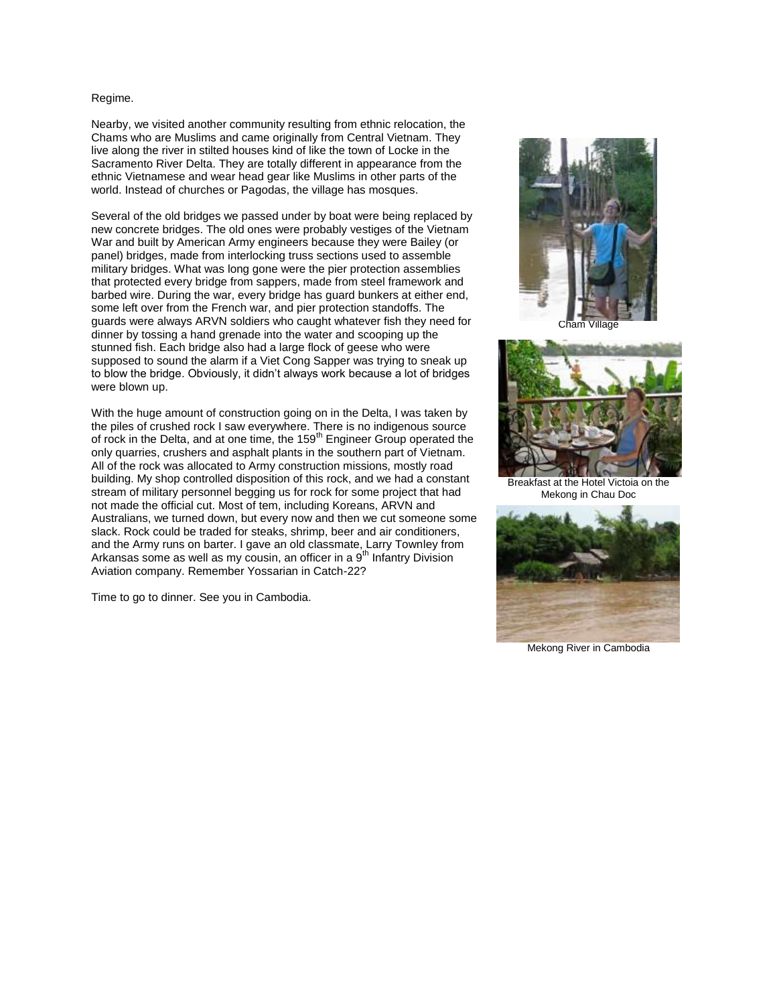### Regime.

Nearby, we visited another community resulting from ethnic relocation, the Chams who are Muslims and came originally from Central Vietnam. They live along the river in stilted houses kind of like the town of Locke in the Sacramento River Delta. They are totally different in appearance from the ethnic Vietnamese and wear head gear like Muslims in other parts of the world. Instead of churches or Pagodas, the village has mosques.

Several of the old bridges we passed under by boat were being replaced by new concrete bridges. The old ones were probably vestiges of the Vietnam War and built by American Army engineers because they were Bailey (or panel) bridges, made from interlocking truss sections used to assemble military bridges. What was long gone were the pier protection assemblies that protected every bridge from sappers, made from steel framework and barbed wire. During the war, every bridge has guard bunkers at either end, some left over from the French war, and pier protection standoffs. The guards were always ARVN soldiers who caught whatever fish they need for dinner by tossing a hand grenade into the water and scooping up the stunned fish. Each bridge also had a large flock of geese who were supposed to sound the alarm if a Viet Cong Sapper was trying to sneak up to blow the bridge. Obviously, it didn't always work because a lot of bridges were blown up.

With the huge amount of construction going on in the Delta, I was taken by the piles of crushed rock I saw everywhere. There is no indigenous source of rock in the Delta, and at one time, the 159<sup>th</sup> Engineer Group operated the only quarries, crushers and asphalt plants in the southern part of Vietnam. All of the rock was allocated to Army construction missions, mostly road building. My shop controlled disposition of this rock, and we had a constant stream of military personnel begging us for rock for some project that had not made the official cut. Most of tem, including Koreans, ARVN and Australians, we turned down, but every now and then we cut someone some slack. Rock could be traded for steaks, shrimp, beer and air conditioners, and the Army runs on barter. I gave an old classmate, Larry Townley from Arkansas some as well as my cousin, an officer in a  $9<sup>th</sup>$  Infantry Division Aviation company. Remember Yossarian in Catch-22?

Time to go to dinner. See you in Cambodia.



Cham Village



Breakfast at the Hotel Victoia on the Mekong in Chau Doc



Mekong River in Cambodia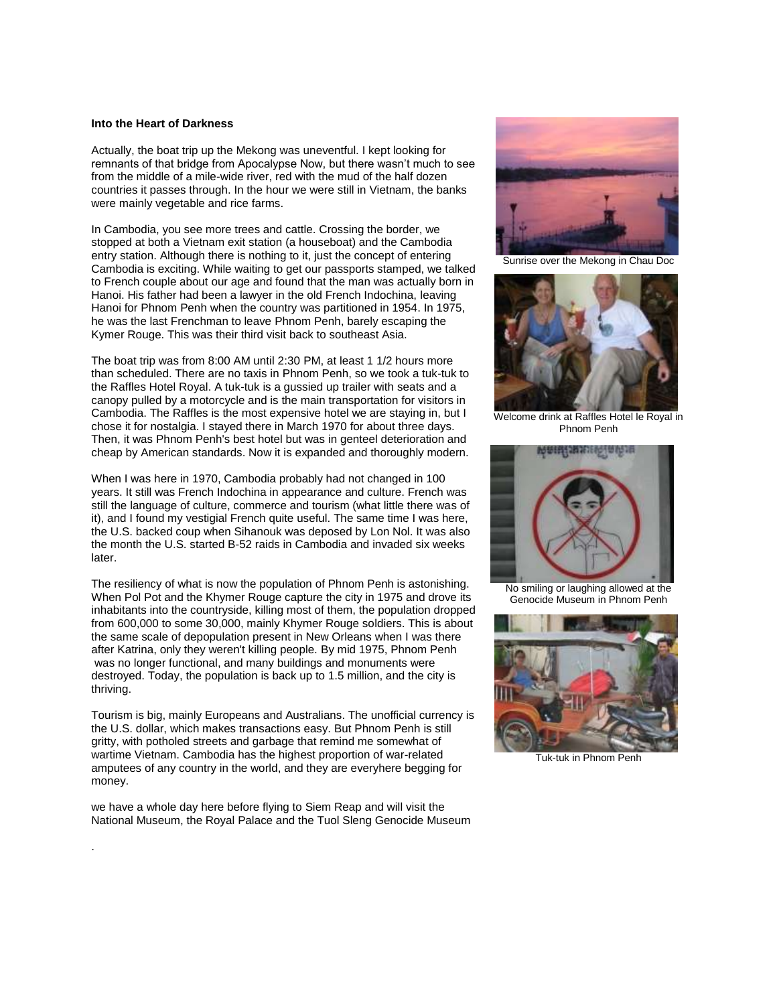## **Into the Heart of Darkness**

Actually, the boat trip up the Mekong was uneventful. I kept looking for remnants of that bridge from Apocalypse Now, but there wasn't much to see from the middle of a mile-wide river, red with the mud of the half dozen countries it passes through. In the hour we were still in Vietnam, the banks were mainly vegetable and rice farms.

In Cambodia, you see more trees and cattle. Crossing the border, we stopped at both a Vietnam exit station (a houseboat) and the Cambodia entry station. Although there is nothing to it, just the concept of entering Cambodia is exciting. While waiting to get our passports stamped, we talked to French couple about our age and found that the man was actually born in Hanoi. His father had been a lawyer in the old French Indochina, leaving Hanoi for Phnom Penh when the country was partitioned in 1954. In 1975, he was the last Frenchman to leave Phnom Penh, barely escaping the Kymer Rouge. This was their third visit back to southeast Asia.

The boat trip was from 8:00 AM until 2:30 PM, at least 1 1/2 hours more than scheduled. There are no taxis in Phnom Penh, so we took a tuk-tuk to the Raffles Hotel Royal. A tuk-tuk is a gussied up trailer with seats and a canopy pulled by a motorcycle and is the main transportation for visitors in Cambodia. The Raffles is the most expensive hotel we are staying in, but I chose it for nostalgia. I stayed there in March 1970 for about three days. Then, it was Phnom Penh's best hotel but was in genteel deterioration and cheap by American standards. Now it is expanded and thoroughly modern.

When I was here in 1970, Cambodia probably had not changed in 100 years. It still was French Indochina in appearance and culture. French was still the language of culture, commerce and tourism (what little there was of it), and I found my vestigial French quite useful. The same time I was here, the U.S. backed coup when Sihanouk was deposed by Lon Nol. It was also the month the U.S. started B-52 raids in Cambodia and invaded six weeks later.

The resiliency of what is now the population of Phnom Penh is astonishing. When Pol Pot and the Khymer Rouge capture the city in 1975 and drove its inhabitants into the countryside, killing most of them, the population dropped from 600,000 to some 30,000, mainly Khymer Rouge soldiers. This is about the same scale of depopulation present in New Orleans when I was there after Katrina, only they weren't killing people. By mid 1975, Phnom Penh was no longer functional, and many buildings and monuments were destroyed. Today, the population is back up to 1.5 million, and the city is thriving.

Tourism is big, mainly Europeans and Australians. The unofficial currency is the U.S. dollar, which makes transactions easy. But Phnom Penh is still gritty, with potholed streets and garbage that remind me somewhat of wartime Vietnam. Cambodia has the highest proportion of war-related amputees of any country in the world, and they are everyhere begging for money.

we have a whole day here before flying to Siem Reap and will visit the National Museum, the Royal Palace and the Tuol Sleng Genocide Museum

.



Sunrise over the Mekong in Chau Doc



Welcome drink at Raffles Hotel le Royal in Phnom Penh



No smiling or laughing allowed at the Genocide Museum in Phnom Penh



Tuk-tuk in Phnom Penh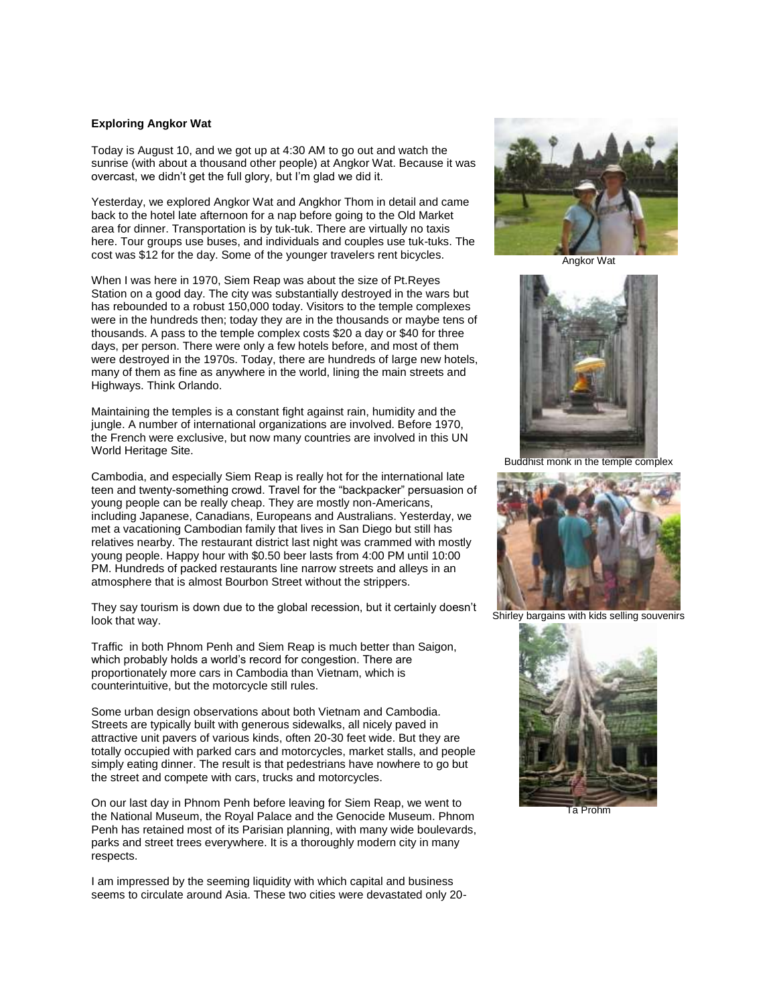## **Exploring Angkor Wat**

Today is August 10, and we got up at 4:30 AM to go out and watch the sunrise (with about a thousand other people) at Angkor Wat. Because it was overcast, we didn't get the full glory, but I'm glad we did it.

Yesterday, we explored Angkor Wat and Angkhor Thom in detail and came back to the hotel late afternoon for a nap before going to the Old Market area for dinner. Transportation is by tuk-tuk. There are virtually no taxis here. Tour groups use buses, and individuals and couples use tuk-tuks. The cost was \$12 for the day. Some of the younger travelers rent bicycles.

When I was here in 1970, Siem Reap was about the size of Pt.Reyes Station on a good day. The city was substantially destroyed in the wars but has rebounded to a robust 150,000 today. Visitors to the temple complexes were in the hundreds then; today they are in the thousands or maybe tens of thousands. A pass to the temple complex costs \$20 a day or \$40 for three days, per person. There were only a few hotels before, and most of them were destroyed in the 1970s. Today, there are hundreds of large new hotels, many of them as fine as anywhere in the world, lining the main streets and Highways. Think Orlando.

Maintaining the temples is a constant fight against rain, humidity and the jungle. A number of international organizations are involved. Before 1970, the French were exclusive, but now many countries are involved in this UN World Heritage Site.

Cambodia, and especially Siem Reap is really hot for the international late teen and twenty-something crowd. Travel for the "backpacker" persuasion of young people can be really cheap. They are mostly non-Americans, including Japanese, Canadians, Europeans and Australians. Yesterday, we met a vacationing Cambodian family that lives in San Diego but still has relatives nearby. The restaurant district last night was crammed with mostly young people. Happy hour with \$0.50 beer lasts from 4:00 PM until 10:00 PM. Hundreds of packed restaurants line narrow streets and alleys in an atmosphere that is almost Bourbon Street without the strippers.

They say tourism is down due to the global recession, but it certainly doesn't look that way.

Traffic in both Phnom Penh and Siem Reap is much better than Saigon, which probably holds a world's record for congestion. There are proportionately more cars in Cambodia than Vietnam, which is counterintuitive, but the motorcycle still rules.

Some urban design observations about both Vietnam and Cambodia. Streets are typically built with generous sidewalks, all nicely paved in attractive unit pavers of various kinds, often 20-30 feet wide. But they are totally occupied with parked cars and motorcycles, market stalls, and people simply eating dinner. The result is that pedestrians have nowhere to go but the street and compete with cars, trucks and motorcycles.

On our last day in Phnom Penh before leaving for Siem Reap, we went to the National Museum, the Royal Palace and the Genocide Museum. Phnom Penh has retained most of its Parisian planning, with many wide boulevards, parks and street trees everywhere. It is a thoroughly modern city in many respects.

I am impressed by the seeming liquidity with which capital and business seems to circulate around Asia. These two cities were devastated only 20-



Angkor Wat



Buddhist monk in the temple complex



Shirley bargains with kids selling souvenirs



Ta Prohm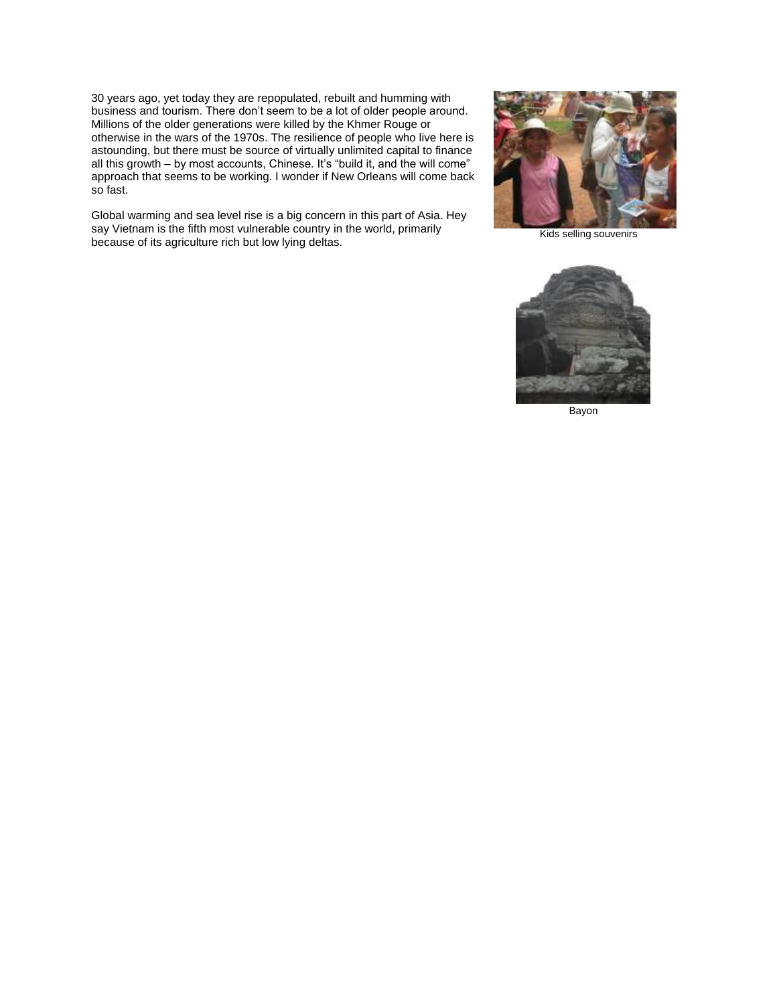30 years ago, yet today they are repopulated, rebuilt and humming with business and tourism. There don't seem to be a lot of older people around. Millions of the older generations were killed by the Khmer Rouge or otherwise in the wars of the 1970s. The resilience of people who live here is astounding, but there must be source of virtually unlimited capital to finance all this growth – by most accounts, Chinese. It's "build it, and the will come" approach that seems to be working. I wonder if New Orleans will come back so fast.

Global warming and sea level rise is a big concern in this part of Asia. Hey say Vietnam is the fifth most vulnerable country in the world, primarily because of its agriculture rich but low lying deltas.



Kids selling souvenirs



Bayon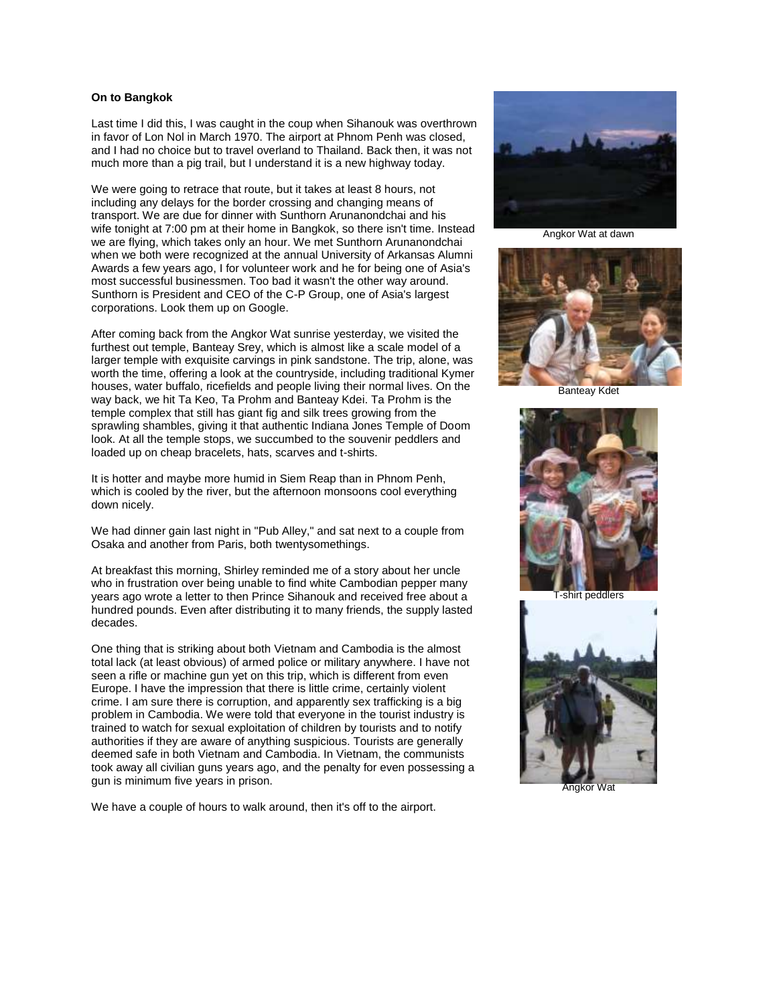## **On to Bangkok**

Last time I did this, I was caught in the coup when Sihanouk was overthrown in favor of Lon Nol in March 1970. The airport at Phnom Penh was closed, and I had no choice but to travel overland to Thailand. Back then, it was not much more than a pig trail, but I understand it is a new highway today.

We were going to retrace that route, but it takes at least 8 hours, not including any delays for the border crossing and changing means of transport. We are due for dinner with Sunthorn Arunanondchai and his wife tonight at 7:00 pm at their home in Bangkok, so there isn't time. Instead we are flying, which takes only an hour. We met Sunthorn Arunanondchai when we both were recognized at the annual University of Arkansas Alumni Awards a few years ago, I for volunteer work and he for being one of Asia's most successful businessmen. Too bad it wasn't the other way around. Sunthorn is President and CEO of the C-P Group, one of Asia's largest corporations. Look them up on Google.

After coming back from the Angkor Wat sunrise yesterday, we visited the furthest out temple, Banteay Srey, which is almost like a scale model of a larger temple with exquisite carvings in pink sandstone. The trip, alone, was worth the time, offering a look at the countryside, including traditional Kymer houses, water buffalo, ricefields and people living their normal lives. On the way back, we hit Ta Keo, Ta Prohm and Banteay Kdei. Ta Prohm is the temple complex that still has giant fig and silk trees growing from the sprawling shambles, giving it that authentic Indiana Jones Temple of Doom look. At all the temple stops, we succumbed to the souvenir peddlers and loaded up on cheap bracelets, hats, scarves and t-shirts.

It is hotter and maybe more humid in Siem Reap than in Phnom Penh, which is cooled by the river, but the afternoon monsoons cool everything down nicely.

We had dinner gain last night in "Pub Alley," and sat next to a couple from Osaka and another from Paris, both twentysomethings.

At breakfast this morning, Shirley reminded me of a story about her uncle who in frustration over being unable to find white Cambodian pepper many years ago wrote a letter to then Prince Sihanouk and received free about a hundred pounds. Even after distributing it to many friends, the supply lasted decades.

One thing that is striking about both Vietnam and Cambodia is the almost total lack (at least obvious) of armed police or military anywhere. I have not seen a rifle or machine gun yet on this trip, which is different from even Europe. I have the impression that there is little crime, certainly violent crime. I am sure there is corruption, and apparently sex trafficking is a big problem in Cambodia. We were told that everyone in the tourist industry is trained to watch for sexual exploitation of children by tourists and to notify authorities if they are aware of anything suspicious. Tourists are generally deemed safe in both Vietnam and Cambodia. In Vietnam, the communists took away all civilian guns years ago, and the penalty for even possessing a gun is minimum five years in prison.

We have a couple of hours to walk around, then it's off to the airport.



Angkor Wat at dawn



Banteay Kdet



T-shirt peddlers



 $n$ akor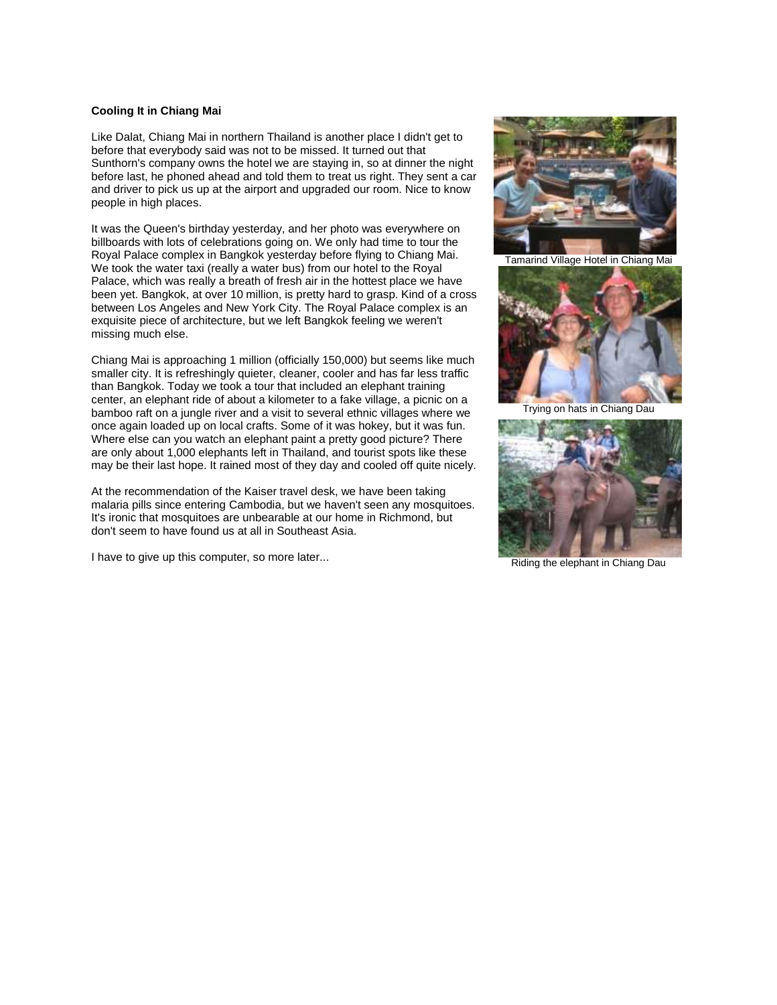# **Cooling It in Chiang Mai**

Like Dalat, Chiang Mai in northern Thailand is another place I didn't get to before that everybody said was not to be missed. It turned out that Sunthorn's company owns the hotel we are staying in, so at dinner the night before last, he phoned ahead and told them to treat us right. They sent a car and driver to pick us up at the airport and upgraded our room. Nice to know people in high places.

It was the Queen's birthday yesterday, and her photo was everywhere on billboards with lots of celebrations going on. We only had time to tour the Royal Palace complex in Bangkok yesterday before flying to Chiang Mai. We took the water taxi (really a water bus) from our hotel to the Royal Palace, which was really a breath of fresh air in the hottest place we have been yet. Bangkok, at over 10 million, is pretty hard to grasp. Kind of a cross between Los Angeles and New York City. The Royal Palace complex is an exquisite piece of architecture, but we left Bangkok feeling we weren't missing much else.

Chiang Mai is approaching 1 million (officially 150,000) but seems like much smaller city. It is refreshingly quieter, cleaner, cooler and has far less traffic than Bangkok. Today we took a tour that included an elephant training center, an elephant ride of about a kilometer to a fake village, a picnic on a bamboo raft on a jungle river and a visit to several ethnic villages where we once again loaded up on local crafts. Some of it was hokey, but it was fun. Where else can you watch an elephant paint a pretty good picture? There are only about 1,000 elephants left in Thailand, and tourist spots like these may be their last hope. It rained most of they day and cooled off quite nicely.

At the recommendation of the Kaiser travel desk, we have been taking malaria pills since entering Cambodia, but we haven't seen any mosquitoes. It's ironic that mosquitoes are unbearable at our home in Richmond, but don't seem to have found us at all in Southeast Asia.

I have to give up this computer, so more later...



Tamarind Village Hotel in Chiang Mai



Trying on hats in Chiang Dau



Riding the elephant in Chiang Dau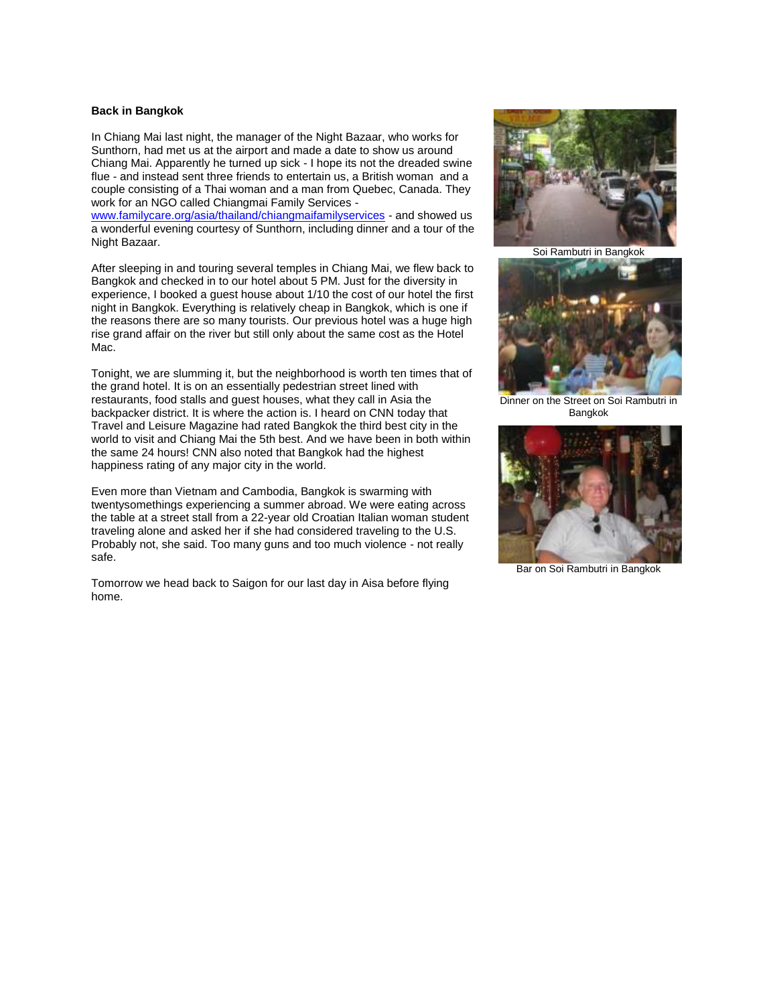## **Back in Bangkok**

In Chiang Mai last night, the manager of the Night Bazaar, who works for Sunthorn, had met us at the airport and made a date to show us around Chiang Mai. Apparently he turned up sick - I hope its not the dreaded swine flue - and instead sent three friends to entertain us, a British woman and a couple consisting of a Thai woman and a man from Quebec, Canada. They work for an NGO called Chiangmai Family Services -

[www.familycare.org/asia/thailand/chiangmaifamilyservices](http://www.familycare.org/asia/thailand/chiangmaifamilyservices) - and showed us a wonderful evening courtesy of Sunthorn, including dinner and a tour of the Night Bazaar.

After sleeping in and touring several temples in Chiang Mai, we flew back to Bangkok and checked in to our hotel about 5 PM. Just for the diversity in experience, I booked a guest house about 1/10 the cost of our hotel the first night in Bangkok. Everything is relatively cheap in Bangkok, which is one if the reasons there are so many tourists. Our previous hotel was a huge high rise grand affair on the river but still only about the same cost as the Hotel Mac.

Tonight, we are slumming it, but the neighborhood is worth ten times that of the grand hotel. It is on an essentially pedestrian street lined with restaurants, food stalls and guest houses, what they call in Asia the backpacker district. It is where the action is. I heard on CNN today that Travel and Leisure Magazine had rated Bangkok the third best city in the world to visit and Chiang Mai the 5th best. And we have been in both within the same 24 hours! CNN also noted that Bangkok had the highest happiness rating of any major city in the world.

Even more than Vietnam and Cambodia, Bangkok is swarming with twentysomethings experiencing a summer abroad. We were eating across the table at a street stall from a 22-year old Croatian Italian woman student traveling alone and asked her if she had considered traveling to the U.S. Probably not, she said. Too many guns and too much violence - not really safe.

Tomorrow we head back to Saigon for our last day in Aisa before flying home.



Soi Rambutri in Bangkok



Dinner on the Street on Soi Rambutri in Bangkok



Bar on Soi Rambutri in Bangkok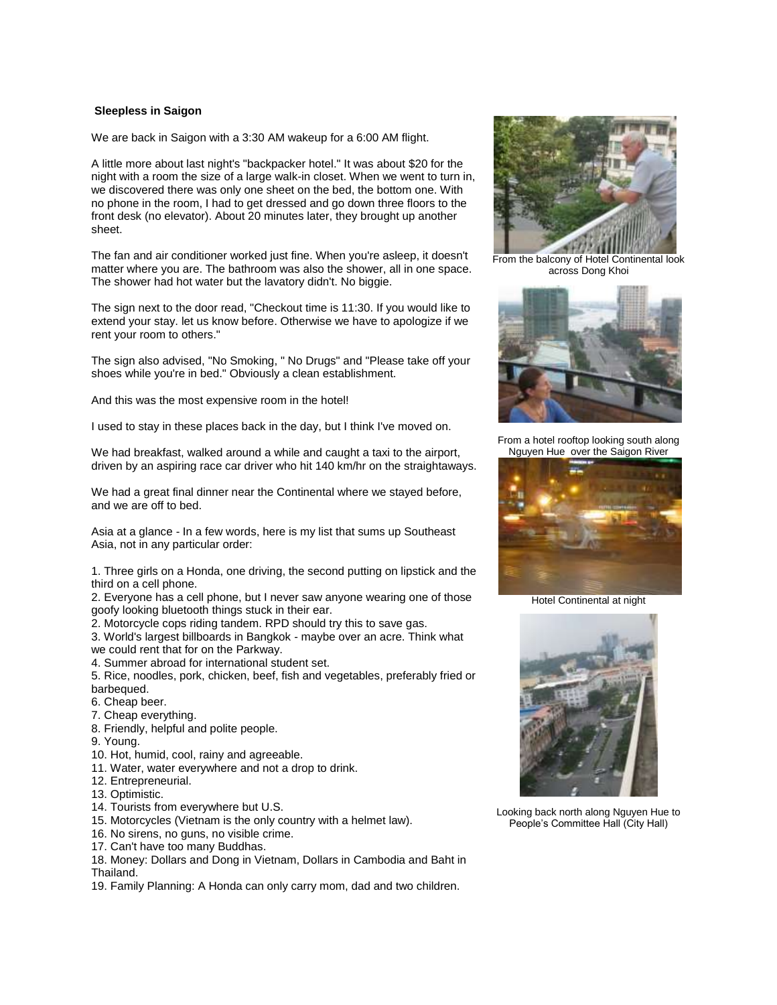## **Sleepless in Saigon**

We are back in Saigon with a 3:30 AM wakeup for a 6:00 AM flight.

A little more about last night's "backpacker hotel." It was about \$20 for the night with a room the size of a large walk-in closet. When we went to turn in, we discovered there was only one sheet on the bed, the bottom one. With no phone in the room, I had to get dressed and go down three floors to the front desk (no elevator). About 20 minutes later, they brought up another sheet.

The fan and air conditioner worked just fine. When you're asleep, it doesn't matter where you are. The bathroom was also the shower, all in one space. The shower had hot water but the lavatory didn't. No biggie.

The sign next to the door read, "Checkout time is 11:30. If you would like to extend your stay. let us know before. Otherwise we have to apologize if we rent your room to others."

The sign also advised, "No Smoking, " No Drugs" and "Please take off your shoes while you're in bed." Obviously a clean establishment.

And this was the most expensive room in the hotel!

I used to stay in these places back in the day, but I think I've moved on.

We had breakfast, walked around a while and caught a taxi to the airport, driven by an aspiring race car driver who hit 140 km/hr on the straightaways.

We had a great final dinner near the Continental where we stayed before, and we are off to bed.

Asia at a glance - In a few words, here is my list that sums up Southeast Asia, not in any particular order:

1. Three girls on a Honda, one driving, the second putting on lipstick and the third on a cell phone.

2. Everyone has a cell phone, but I never saw anyone wearing one of those goofy looking bluetooth things stuck in their ear.

2. Motorcycle cops riding tandem. RPD should try this to save gas.

3. World's largest billboards in Bangkok - maybe over an acre. Think what we could rent that for on the Parkway.

4. Summer abroad for international student set.

5. Rice, noodles, pork, chicken, beef, fish and vegetables, preferably fried or barbequed.

- 6. Cheap beer.
- 7. Cheap everything.
- 8. Friendly, helpful and polite people.
- 9. Young.
- 10. Hot, humid, cool, rainy and agreeable.
- 11. Water, water everywhere and not a drop to drink.
- 12. Entrepreneurial.
- 13. Optimistic.
- 14. Tourists from everywhere but U.S.
- 15. Motorcycles (Vietnam is the only country with a helmet law).
- 16. No sirens, no guns, no visible crime.
- 17. Can't have too many Buddhas.

18. Money: Dollars and Dong in Vietnam, Dollars in Cambodia and Baht in Thailand.

19. Family Planning: A Honda can only carry mom, dad and two children.



From the balcony of Hotel Continental look across Dong Khoi



From a hotel rooftop looking south along Nguyen Hue over the Saigon River



Hotel Continental at night



Looking back north along Nguyen Hue to People's Committee Hall (City Hall)